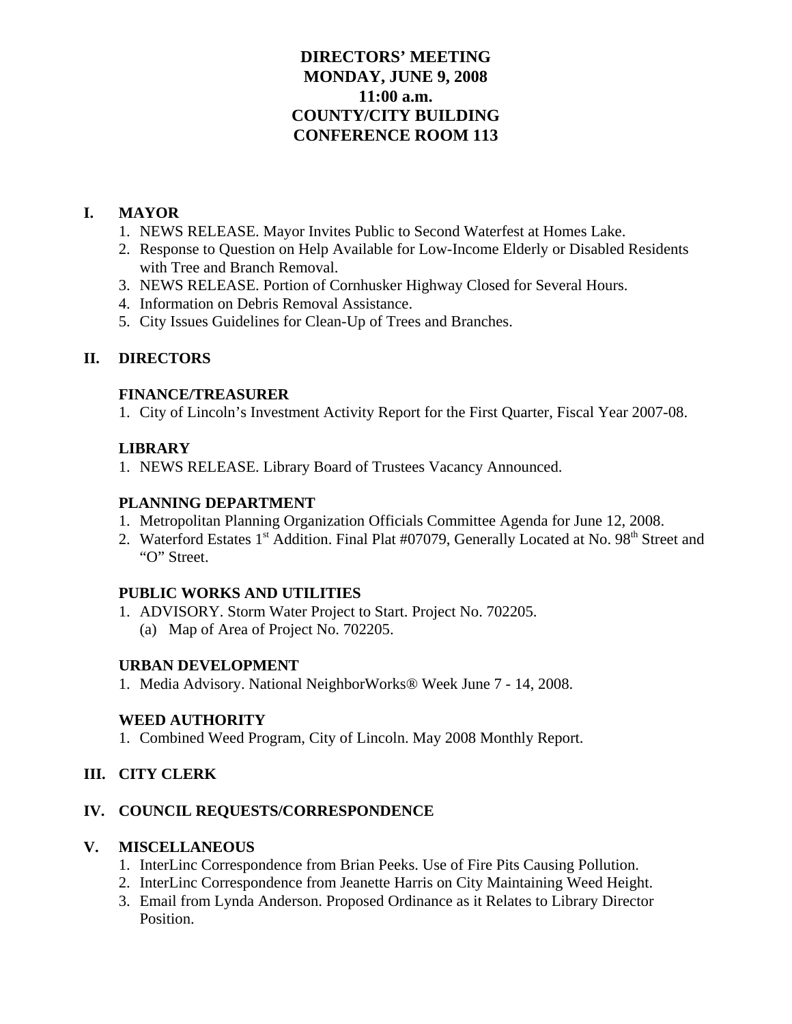# **DIRECTORS' MEETING MONDAY, JUNE 9, 2008 11:00 a.m. COUNTY/CITY BUILDING CONFERENCE ROOM 113**

# **I. MAYOR**

- 1. NEWS RELEASE. Mayor Invites Public to Second Waterfest at Homes Lake.
- 2. Response to Question on Help Available for Low-Income Elderly or Disabled Residents with Tree and Branch Removal.
- 3. NEWS RELEASE. Portion of Cornhusker Highway Closed for Several Hours.
- 4. Information on Debris Removal Assistance.
- 5. City Issues Guidelines for Clean-Up of Trees and Branches.

# **II. DIRECTORS**

### **FINANCE/TREASURER**

1. City of Lincoln's Investment Activity Report for the First Quarter, Fiscal Year 2007-08.

# **LIBRARY**

1. NEWS RELEASE. Library Board of Trustees Vacancy Announced.

# **PLANNING DEPARTMENT**

- 1. Metropolitan Planning Organization Officials Committee Agenda for June 12, 2008.
- 2. Waterford Estates 1<sup>st</sup> Addition. Final Plat #07079, Generally Located at No. 98<sup>th</sup> Street and "O" Street.

# **PUBLIC WORKS AND UTILITIES**

1. ADVISORY. Storm Water Project to Start. Project No. 702205. (a) Map of Area of Project No. 702205.

### **URBAN DEVELOPMENT**

1. Media Advisory. National NeighborWorks® Week June 7 - 14, 2008.

# **WEED AUTHORITY**

1. Combined Weed Program, City of Lincoln. May 2008 Monthly Report.

# **III. CITY CLERK**

# **IV. COUNCIL REQUESTS/CORRESPONDENCE**

# **V. MISCELLANEOUS**

- 1. InterLinc Correspondence from Brian Peeks. Use of Fire Pits Causing Pollution.
- 2. InterLinc Correspondence from Jeanette Harris on City Maintaining Weed Height.
- 3. Email from Lynda Anderson. Proposed Ordinance as it Relates to Library Director Position.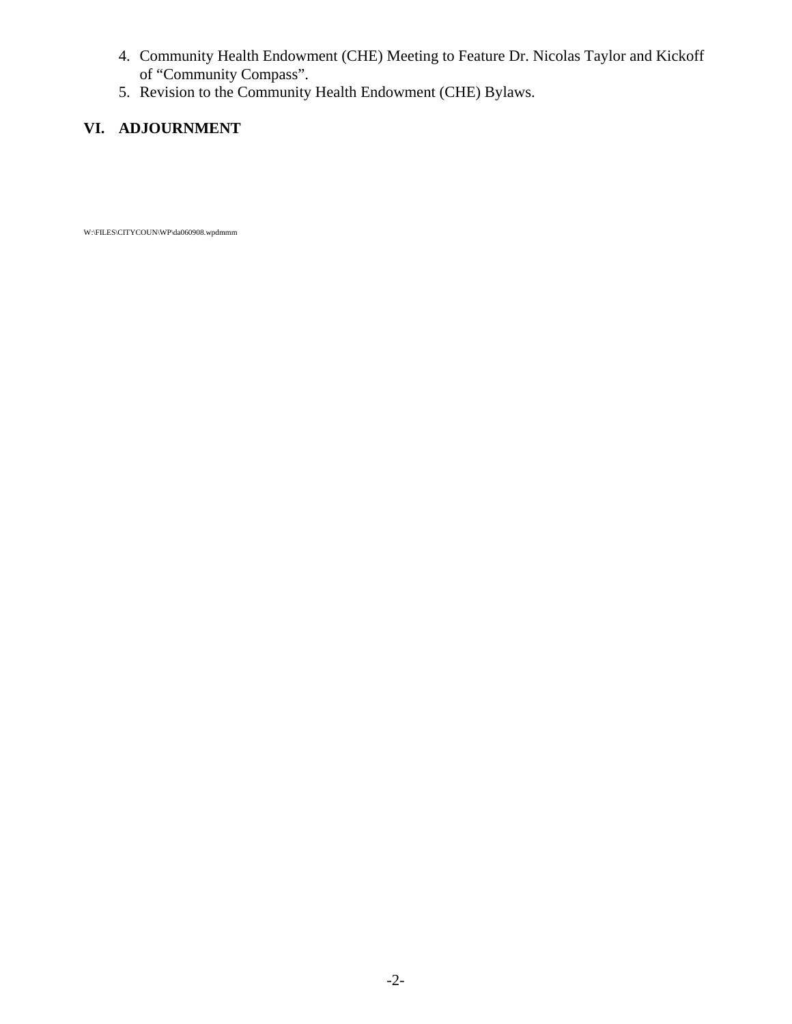- 4. Community Health Endowment (CHE) Meeting to Feature Dr. Nicolas Taylor and Kickoff of "Community Compass".
- 5. Revision to the Community Health Endowment (CHE) Bylaws.

# **VI. ADJOURNMENT**

W:\FILES\CITYCOUN\WP\da060908.wpdmmm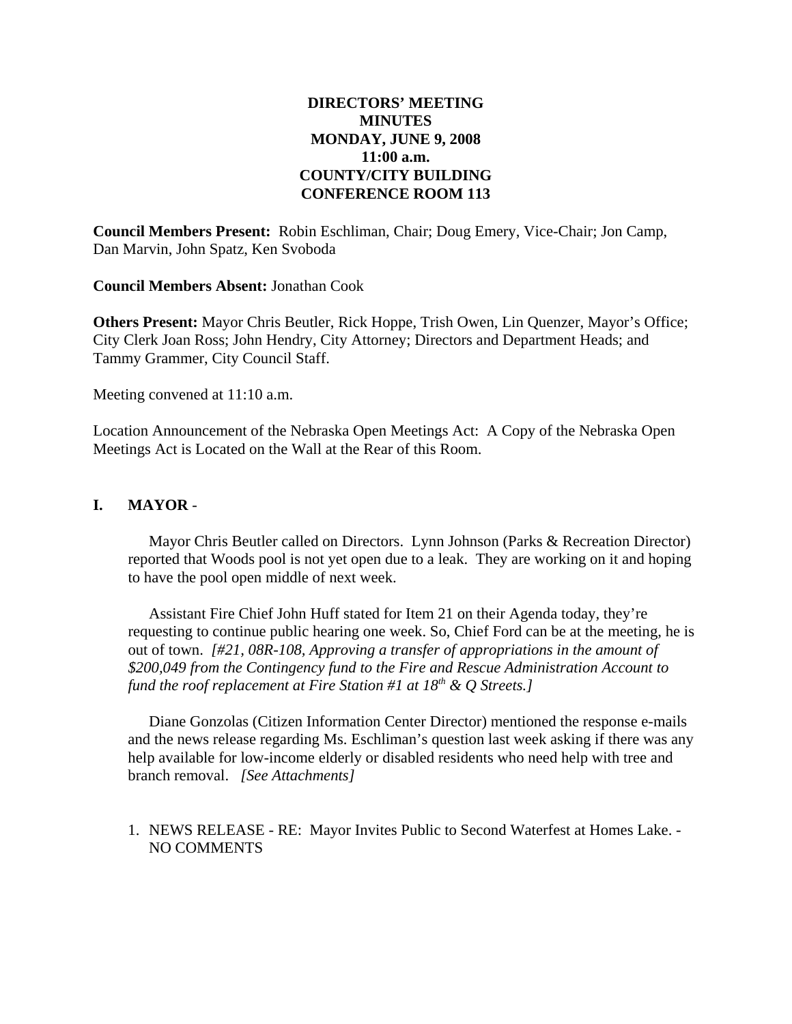# **DIRECTORS' MEETING MINUTES MONDAY, JUNE 9, 2008 11:00 a.m. COUNTY/CITY BUILDING CONFERENCE ROOM 113**

**Council Members Present:** Robin Eschliman, Chair; Doug Emery, Vice-Chair; Jon Camp, Dan Marvin, John Spatz, Ken Svoboda

**Council Members Absent:** Jonathan Cook

**Others Present:** Mayor Chris Beutler, Rick Hoppe, Trish Owen, Lin Quenzer, Mayor's Office; City Clerk Joan Ross; John Hendry, City Attorney; Directors and Department Heads; and Tammy Grammer, City Council Staff.

Meeting convened at 11:10 a.m.

Location Announcement of the Nebraska Open Meetings Act: A Copy of the Nebraska Open Meetings Act is Located on the Wall at the Rear of this Room.

### **I. MAYOR** -

Mayor Chris Beutler called on Directors. Lynn Johnson (Parks & Recreation Director) reported that Woods pool is not yet open due to a leak. They are working on it and hoping to have the pool open middle of next week.

Assistant Fire Chief John Huff stated for Item 21 on their Agenda today, they're requesting to continue public hearing one week. So, Chief Ford can be at the meeting, he is out of town. *[#21, 08R-108, Approving a transfer of appropriations in the amount of \$200,049 from the Contingency fund to the Fire and Rescue Administration Account to fund the roof replacement at Fire Station #1 at 18<sup>th</sup> & O Streets.]* 

Diane Gonzolas (Citizen Information Center Director) mentioned the response e-mails and the news release regarding Ms. Eschliman's question last week asking if there was any help available for low-income elderly or disabled residents who need help with tree and branch removal. *[See Attachments]* 

### 1. NEWS RELEASE - RE: Mayor Invites Public to Second Waterfest at Homes Lake. - NO COMMENTS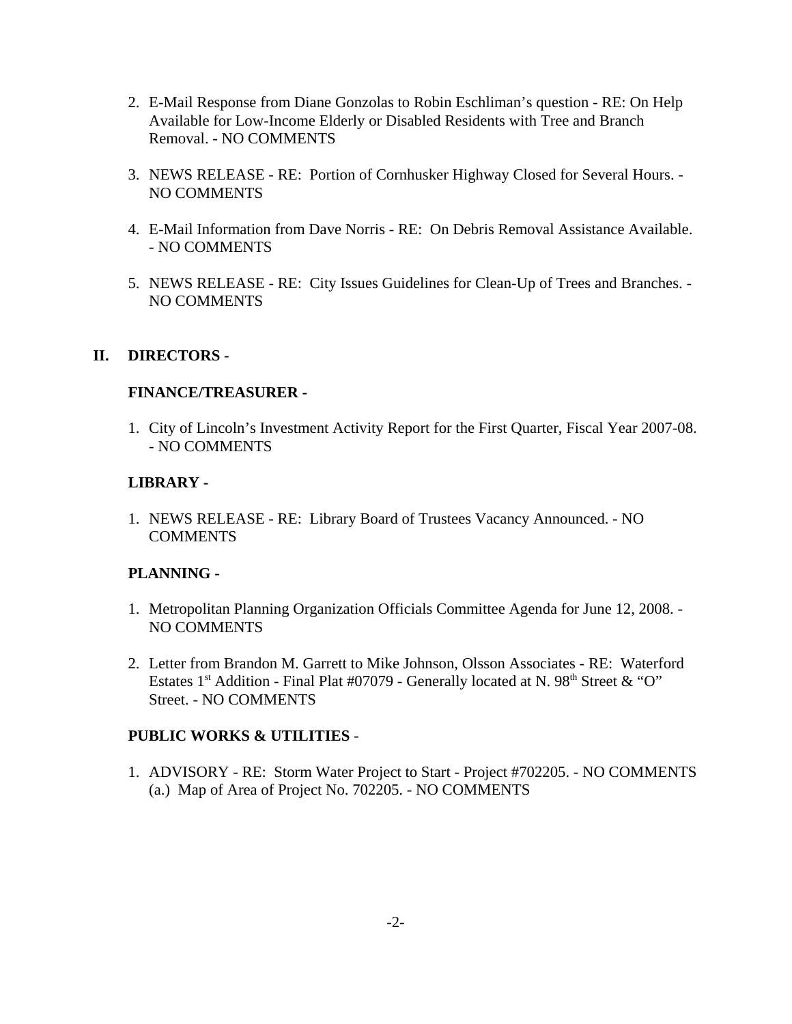- 2. E-Mail Response from Diane Gonzolas to Robin Eschliman's question RE: On Help Available for Low-Income Elderly or Disabled Residents with Tree and Branch Removal. - NO COMMENTS
- 3. NEWS RELEASE RE: Portion of Cornhusker Highway Closed for Several Hours. NO COMMENTS
- 4. E-Mail Information from Dave Norris RE: On Debris Removal Assistance Available. - NO COMMENTS
- 5. NEWS RELEASE RE: City Issues Guidelines for Clean-Up of Trees and Branches. NO COMMENTS

### **II. DIRECTORS** -

### **FINANCE/TREASURER -**

1. City of Lincoln's Investment Activity Report for the First Quarter, Fiscal Year 2007-08. - NO COMMENTS

### **LIBRARY -**

1. NEWS RELEASE - RE: Library Board of Trustees Vacancy Announced. - NO **COMMENTS** 

### **PLANNING -**

- 1. Metropolitan Planning Organization Officials Committee Agenda for June 12, 2008. NO COMMENTS
- 2. Letter from Brandon M. Garrett to Mike Johnson, Olsson Associates RE: Waterford Estates 1<sup>st</sup> Addition - Final Plat #07079 - Generally located at N. 98<sup>th</sup> Street & "O" Street. - NO COMMENTS

### **PUBLIC WORKS & UTILITIES** -

1. ADVISORY - RE: Storm Water Project to Start - Project #702205. - NO COMMENTS (a.) Map of Area of Project No. 702205. - NO COMMENTS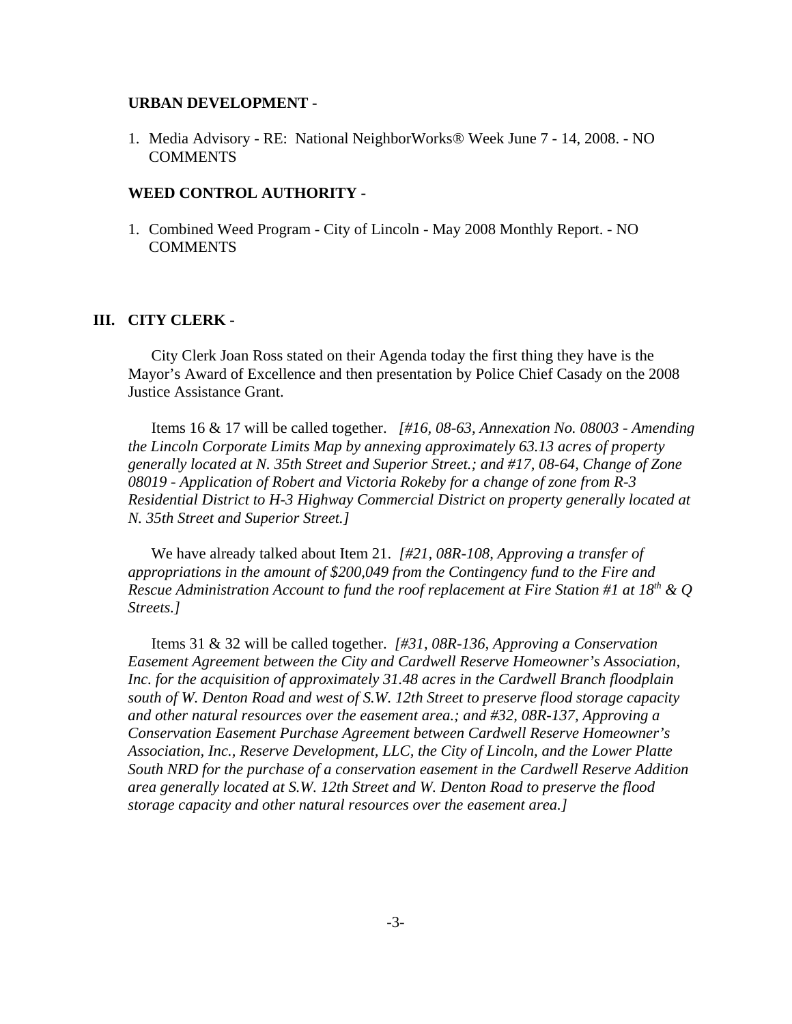#### **URBAN DEVELOPMENT -**

1. Media Advisory - RE: National NeighborWorks® Week June 7 - 14, 2008. - NO **COMMENTS** 

#### **WEED CONTROL AUTHORITY -**

1. Combined Weed Program - City of Lincoln - May 2008 Monthly Report. - NO **COMMENTS** 

#### **III. CITY CLERK -**

City Clerk Joan Ross stated on their Agenda today the first thing they have is the Mayor's Award of Excellence and then presentation by Police Chief Casady on the 2008 Justice Assistance Grant.

Items 16 & 17 will be called together. *[#16, 08-63, Annexation No. 08003 - Amending the Lincoln Corporate Limits Map by annexing approximately 63.13 acres of property generally located at N. 35th Street and Superior Street.; and #17, 08-64, Change of Zone 08019 - Application of Robert and Victoria Rokeby for a change of zone from R-3 Residential District to H-3 Highway Commercial District on property generally located at N. 35th Street and Superior Street.]*

We have already talked about Item 21. *[#21, 08R-108, Approving a transfer of appropriations in the amount of \$200,049 from the Contingency fund to the Fire and Rescue Administration Account to fund the roof replacement at Fire Station #1 at 18th & Q Streets.]*

Items 31 & 32 will be called together. *[#31, 08R-136, Approving a Conservation Easement Agreement between the City and Cardwell Reserve Homeowner's Association, Inc. for the acquisition of approximately 31.48 acres in the Cardwell Branch floodplain south of W. Denton Road and west of S.W. 12th Street to preserve flood storage capacity and other natural resources over the easement area.; and #32, 08R-137, Approving a Conservation Easement Purchase Agreement between Cardwell Reserve Homeowner's Association, Inc., Reserve Development, LLC, the City of Lincoln, and the Lower Platte South NRD for the purchase of a conservation easement in the Cardwell Reserve Addition area generally located at S.W. 12th Street and W. Denton Road to preserve the flood storage capacity and other natural resources over the easement area.]*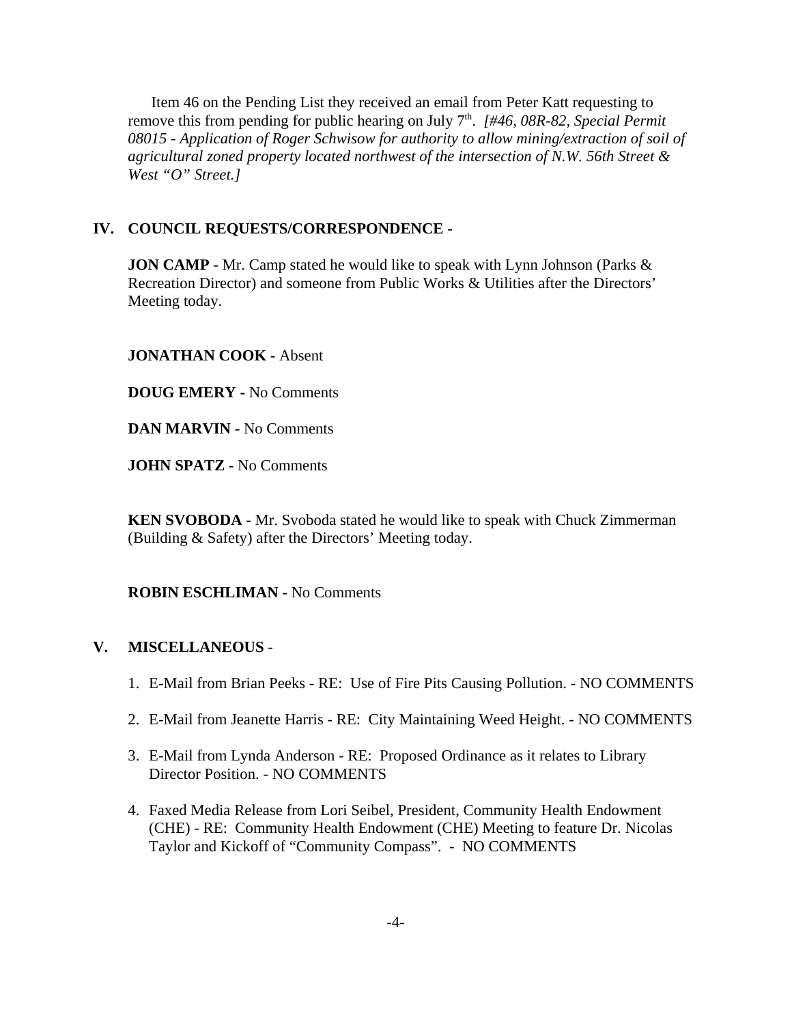Item 46 on the Pending List they received an email from Peter Katt requesting to remove this from pending for public hearing on July 7th. *[#46, 08R-82, Special Permit 08015 - Application of Roger Schwisow for authority to allow mining/extraction of soil of agricultural zoned property located northwest of the intersection of N.W. 56th Street & West "O" Street.]* 

### **IV. COUNCIL REQUESTS/CORRESPONDENCE -**

**JON CAMP** - Mr. Camp stated he would like to speak with Lynn Johnson (Parks & Recreation Director) and someone from Public Works & Utilities after the Directors' Meeting today.

### **JONATHAN COOK -** Absent

**DOUG EMERY -** No Comments

**DAN MARVIN -** No Comments

**JOHN SPATZ -** No Comments

**KEN SVOBODA -** Mr. Svoboda stated he would like to speak with Chuck Zimmerman (Building & Safety) after the Directors' Meeting today.

**ROBIN ESCHLIMAN -** No Comments

### **V. MISCELLANEOUS** -

- 1. E-Mail from Brian Peeks RE: Use of Fire Pits Causing Pollution. NO COMMENTS
- 2. E-Mail from Jeanette Harris RE: City Maintaining Weed Height. NO COMMENTS
- 3. E-Mail from Lynda Anderson RE: Proposed Ordinance as it relates to Library Director Position. - NO COMMENTS
- 4. Faxed Media Release from Lori Seibel, President, Community Health Endowment (CHE) - RE: Community Health Endowment (CHE) Meeting to feature Dr. Nicolas Taylor and Kickoff of "Community Compass". - NO COMMENTS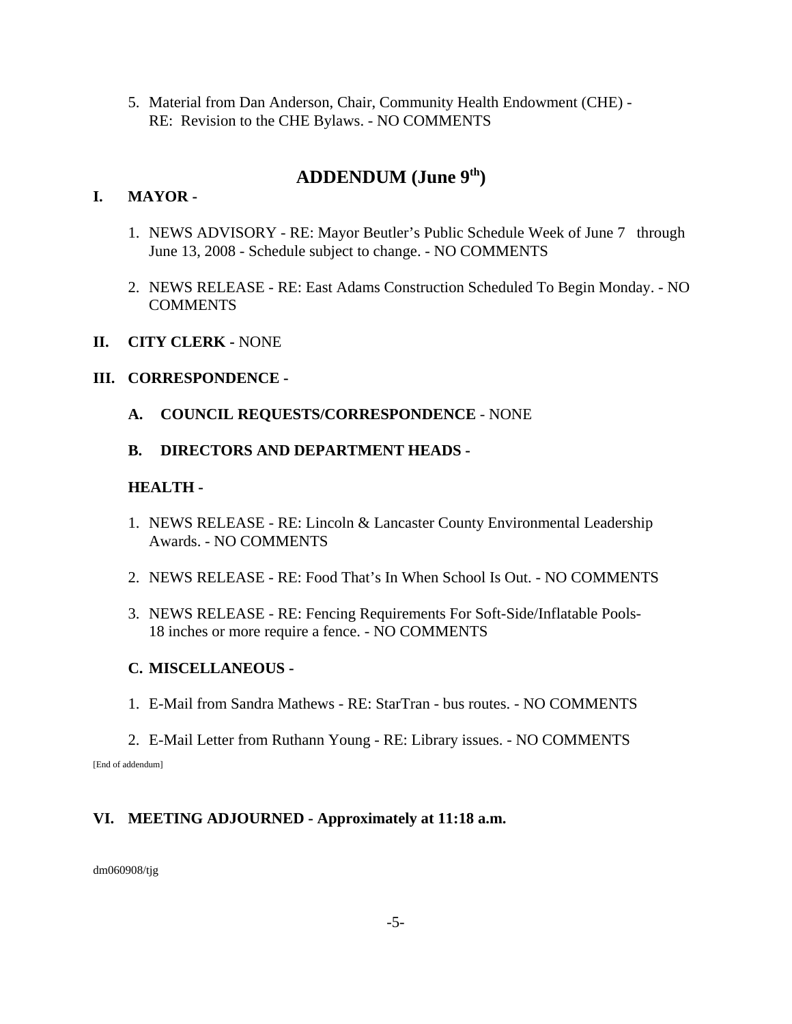5. Material from Dan Anderson, Chair, Community Health Endowment (CHE) - RE: Revision to the CHE Bylaws. - NO COMMENTS

# **ADDENDUM (June 9th)**

# **I. MAYOR -**

- 1. NEWS ADVISORY RE: Mayor Beutler's Public Schedule Week of June 7 through June 13, 2008 - Schedule subject to change. - NO COMMENTS
- 2. NEWS RELEASE RE: East Adams Construction Scheduled To Begin Monday. NO **COMMENTS**

### **II. CITY CLERK -** NONE

### **III. CORRESPONDENCE -**

- **A. COUNCIL REQUESTS/CORRESPONDENCE** NONE
- **B. DIRECTORS AND DEPARTMENT HEADS**

### **HEALTH -**

- 1. NEWS RELEASE RE: Lincoln & Lancaster County Environmental Leadership Awards. - NO COMMENTS
- 2. NEWS RELEASE RE: Food That's In When School Is Out. NO COMMENTS
- 3. NEWS RELEASE RE: Fencing Requirements For Soft-Side/Inflatable Pools-18 inches or more require a fence. - NO COMMENTS

# **C. MISCELLANEOUS -**

- 1. E-Mail from Sandra Mathews RE: StarTran bus routes. NO COMMENTS
- 2. E-Mail Letter from Ruthann Young RE: Library issues. NO COMMENTS [End of addendum]

# **VI. MEETING ADJOURNED - Approximately at 11:18 a.m.**

dm060908/tjg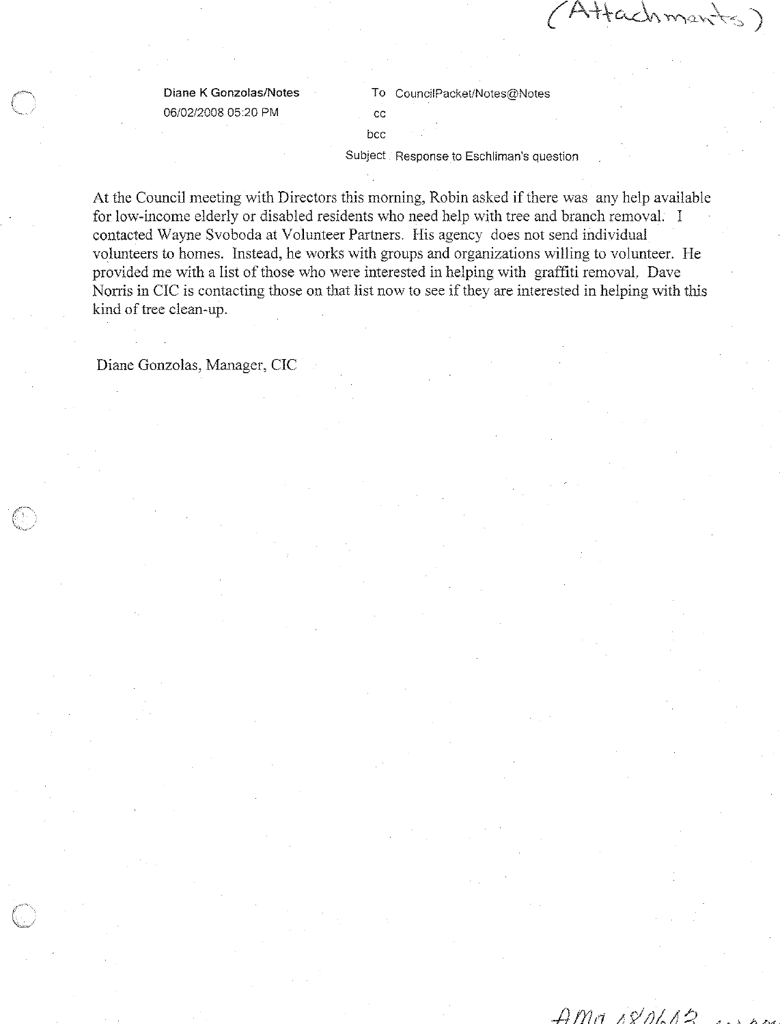Attachments

Diane K Gonzolas/Notes 06/02/2008 05:20 PM

To CouncilPacket/Notes@Notes  $_{\rm CC}$ 

bcc

Subject Response to Eschliman's question

At the Council meeting with Directors this morning, Robin asked if there was any help available for low-income elderly or disabled residents who need help with tree and branch removal. I contacted Wayne Svoboda at Volunteer Partners. His agency does not send individual volunteers to homes. Instead, he works with groups and organizations willing to volunteer. He provided me with a list of those who were interested in helping with graffiti removal. Dave Norris in CIC is contacting those on that list now to see if they are interested in helping with this kind of tree clean-up.

Diane Gonzolas, Manager, CIC

 $AMMNNM12$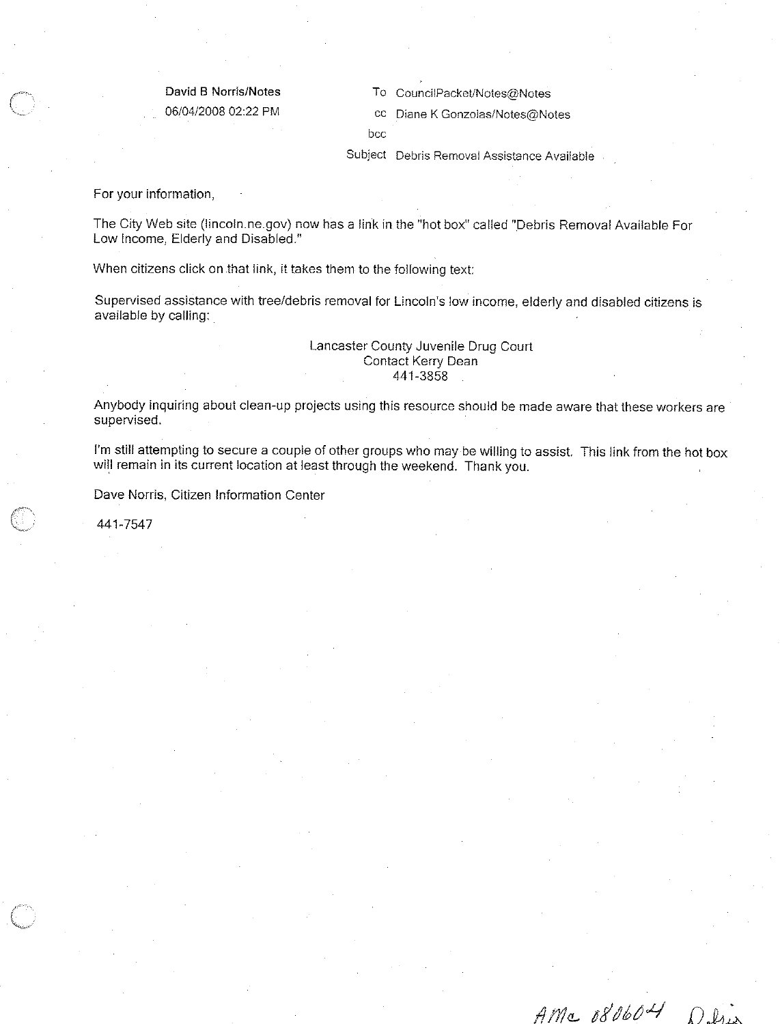#### David B Norris/Notes 06/04/2008 02:22 PM

To CouncilPacket/Notes@Notes

cc Diane K Gonzolas/Notes@Notes

bcc

Subject Debris Removal Assistance Available

For your information,

The City Web site (lincoln.ne.gov) now has a link in the "hot box" called "Debris Removal Available For Low Income, Elderly and Disabled."

When citizens click on that link, it takes them to the following text:

Supervised assistance with tree/debris removal for Lincoln's low income, elderly and disabled citizens is available by calling:

#### Lancaster County Juvenile Drug Court Contact Kerry Dean 441-3858

Anybody inquiring about clean-up projects using this resource should be made aware that these workers are supervised.

I'm still attempting to secure a couple of other groups who may be willing to assist. This link from the hot box will remain in its current location at least through the weekend. Thank you.

Dave Norris, Citizen Information Center

441-7547

 $AMc$  080604

DI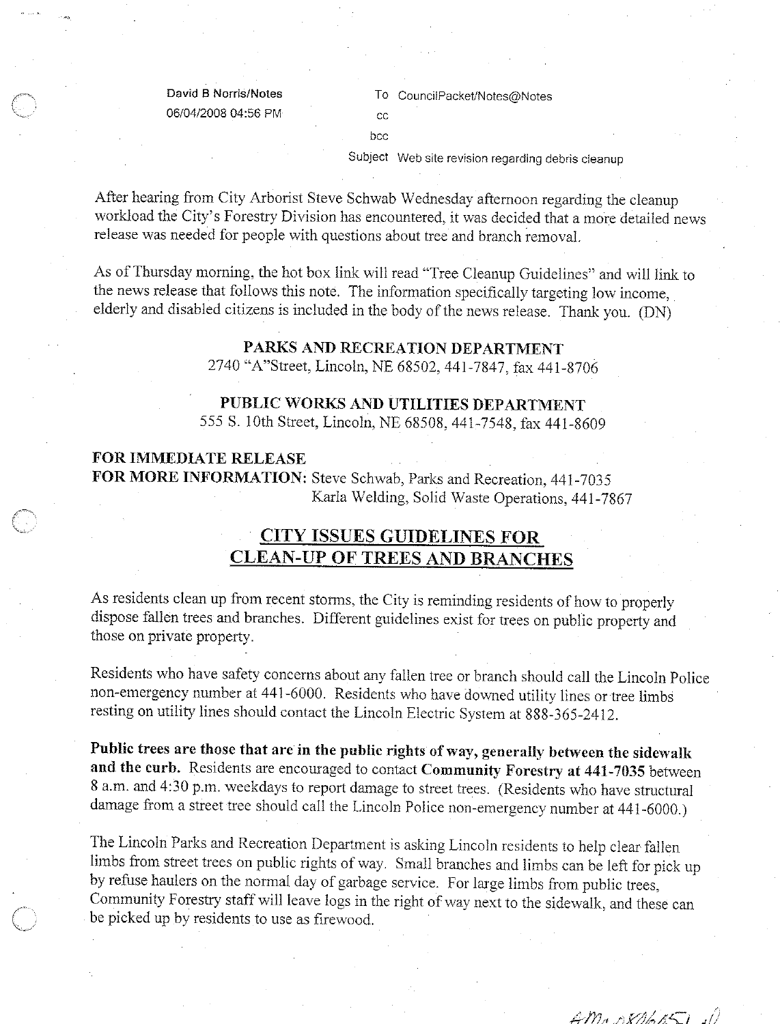David B Norris/Notes 06/04/2008 04:56 PM To CouncilPacket/Notes@Notes

 $cc$ 

bcc

Subject Web site revision regarding debris cleanup

After hearing from City Arborist Steve Schwab Wednesday afternoon regarding the cleanup workload the City's Forestry Division has encountered, it was decided that a more detailed news release was needed for people with questions about tree and branch removal.

As of Thursday morning, the hot box link will read "Tree Cleanup Guidelines" and will link to the news release that follows this note. The information specifically targeting low income, elderly and disabled citizens is included in the body of the news release. Thank you. (DN)

### PARKS AND RECREATION DEPARTMENT

2740 "A"Street, Lincoln, NE 68502, 441-7847, fax 441-8706

#### PUBLIC WORKS AND UTILITIES DEPARTMENT

555 S. 10th Street, Lincoln, NE 68508, 441-7548, fax 441-8609

#### **FOR IMMEDIATE RELEASE**

FOR MORE INFORMATION: Steve Schwab, Parks and Recreation, 441-7035 Karla Welding, Solid Waste Operations, 441-7867

# **CITY ISSUES GUIDELINES FOR CLEAN-UP OF TREES AND BRANCHES**

As residents clean up from recent storms, the City is reminding residents of how to properly dispose fallen trees and branches. Different guidelines exist for trees on public property and those on private property.

Residents who have safety concerns about any fallen tree or branch should call the Lincoln Police non-emergency number at 441-6000. Residents who have downed utility lines or tree limbs resting on utility lines should contact the Lincoln Electric System at 888-365-2412.

Public trees are those that are in the public rights of way, generally between the sidewalk and the curb. Residents are encouraged to contact Community Forestry at 441-7035 between 8 a.m. and 4:30 p.m. weekdays to report damage to street trees. (Residents who have structural damage from a street tree should call the Lincoln Police non-emergency number at 441-6000.)

The Lincoln Parks and Recreation Department is asking Lincoln residents to help clear fallen limbs from street trees on public rights of way. Small branches and limbs can be left for pick up by refuse haulers on the normal day of garbage service. For large limbs from public trees, Community Forestry staff will leave logs in the right of way next to the sidewalk, and these can be picked up by residents to use as firewood.

 $AMADX06051$